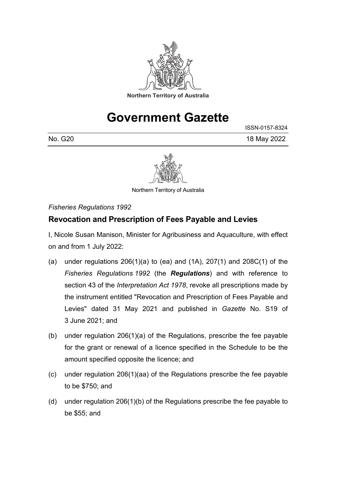

# **Government Gazette**

ISSN-0157-8324

No. G20 18 May 2022



Northern Territory of Australia

*Fisheries Regulations 1992*

## **Revocation and Prescription of Fees Payable and Levies**

I, Nicole Susan Manison, Minister for Agribusiness and Aquaculture, with effect on and from 1 July 2022:

- (a) under regulations  $206(1)(a)$  to (ea) and  $(1A)$ ,  $207(1)$  and  $208C(1)$  of the *Fisheries Regulations 1992* (the *Regulations*) and with reference to section 43 of the *Interpretation Act 1978*, revoke all prescriptions made by the instrument entitled "Revocation and Prescription of Fees Payable and Levies" dated 31 May 2021 and published in *Gazette* No. S19 of 3 June 2021; and
- (b) under regulation 206(1)(a) of the Regulations, prescribe the fee payable for the grant or renewal of a licence specified in the Schedule to be the amount specified opposite the licence; and
- (c) under regulation 206(1)(aa) of the Regulations prescribe the fee payable to be \$750; and
- (d) under regulation 206(1)(b) of the Regulations prescribe the fee payable to be \$55; and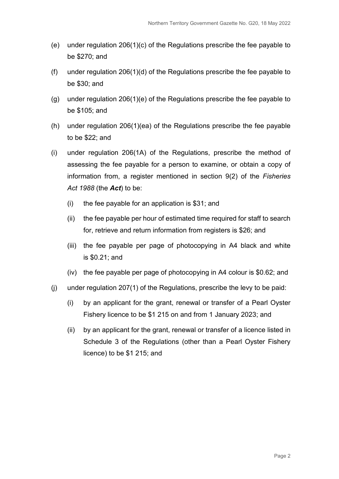- (e) under regulation 206(1)(c) of the Regulations prescribe the fee payable to be \$270; and
- (f) under regulation 206(1)(d) of the Regulations prescribe the fee payable to be \$30; and
- (g) under regulation 206(1)(e) of the Regulations prescribe the fee payable to be \$105; and
- (h) under regulation 206(1)(ea) of the Regulations prescribe the fee payable to be \$22; and
- (i) under regulation 206(1A) of the Regulations, prescribe the method of assessing the fee payable for a person to examine, or obtain a copy of information from, a register mentioned in section 9(2) of the *Fisheries Act 1988* (the *Act*) to be:
	- (i) the fee payable for an application is \$31; and
	- (ii) the fee payable per hour of estimated time required for staff to search for, retrieve and return information from registers is \$26; and
	- (iii) the fee payable per page of photocopying in A4 black and white is \$0.21; and
	- (iv) the fee payable per page of photocopying in A4 colour is \$0.62; and
- (j) under regulation 207(1) of the Regulations, prescribe the levy to be paid:
	- (i) by an applicant for the grant, renewal or transfer of a Pearl Oyster Fishery licence to be \$1 215 on and from 1 January 2023; and
	- (ii) by an applicant for the grant, renewal or transfer of a licence listed in Schedule 3 of the Regulations (other than a Pearl Oyster Fishery licence) to be \$1 215; and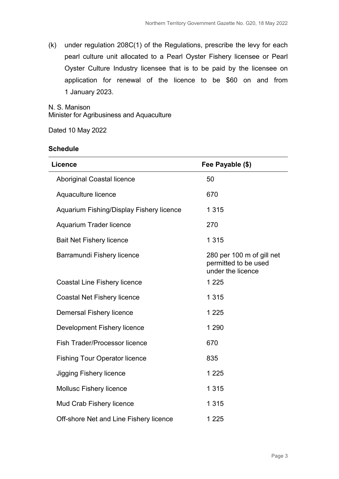(k) under regulation 208C(1) of the Regulations, prescribe the levy for each pearl culture unit allocated to a Pearl Oyster Fishery licensee or Pearl Oyster Culture Industry licensee that is to be paid by the licensee on application for renewal of the licence to be \$60 on and from 1 January 2023.

N. S. Manison Minister for Agribusiness and Aquaculture

Dated 10 May 2022

#### **Schedule**

| <b>Licence</b>                           | Fee Payable (\$)                                                       |
|------------------------------------------|------------------------------------------------------------------------|
| <b>Aboriginal Coastal licence</b>        | 50                                                                     |
| Aquaculture licence                      | 670                                                                    |
| Aquarium Fishing/Display Fishery licence | 1 3 1 5                                                                |
| <b>Aquarium Trader licence</b>           | 270                                                                    |
| <b>Bait Net Fishery licence</b>          | 1 3 1 5                                                                |
| <b>Barramundi Fishery licence</b>        | 280 per 100 m of gill net<br>permitted to be used<br>under the licence |
| <b>Coastal Line Fishery licence</b>      | 1 2 2 5                                                                |
| <b>Coastal Net Fishery licence</b>       | 1 3 1 5                                                                |
| <b>Demersal Fishery licence</b>          | 1 2 2 5                                                                |
| <b>Development Fishery licence</b>       | 1 2 9 0                                                                |
| <b>Fish Trader/Processor licence</b>     | 670                                                                    |
| <b>Fishing Tour Operator licence</b>     | 835                                                                    |
| <b>Jigging Fishery licence</b>           | 1 2 2 5                                                                |
| <b>Mollusc Fishery licence</b>           | 1 3 1 5                                                                |
| Mud Crab Fishery licence                 | 1 3 1 5                                                                |
| Off-shore Net and Line Fishery licence   | 1 2 2 5                                                                |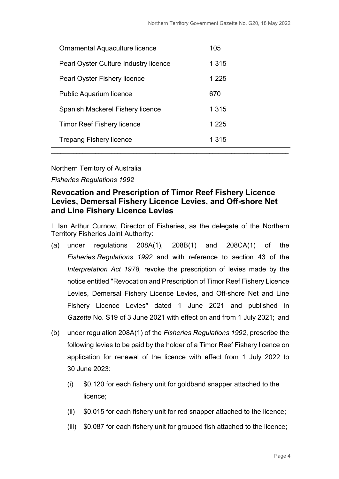| Ornamental Aquaculture licence               | 105     |
|----------------------------------------------|---------|
| <b>Pearl Oyster Culture Industry licence</b> | 1 3 1 5 |
| <b>Pearl Oyster Fishery licence</b>          | 1 2 2 5 |
| Public Aquarium licence                      | 670     |
| Spanish Mackerel Fishery licence             | 1 3 1 5 |
| <b>Timor Reef Fishery licence</b>            | 1 2 2 5 |
| Trepang Fishery licence                      | 1 3 1 5 |
|                                              |         |

*Fisheries Regulations 1992*

## **Revocation and Prescription of Timor Reef Fishery Licence Levies, Demersal Fishery Licence Levies, and Off-shore Net and Line Fishery Licence Levies**

I, Ian Arthur Curnow, Director of Fisheries, as the delegate of the Northern Territory Fisheries Joint Authority:

- (a) under regulations 208A(1), 208B(1) and 208CA(1) of the *Fisheries Regulations 1992* and with reference to section 43 of the *Interpretation Act 1978,* revoke the prescription of levies made by the notice entitled "Revocation and Prescription of Timor Reef Fishery Licence Levies, Demersal Fishery Licence Levies, and Off-shore Net and Line Fishery Licence Levies" dated 1 June 2021 and published in *Gazette* No. S19 of 3 June 2021 with effect on and from 1 July 2021; and
- (b) under regulation 208A(1) of the *Fisheries Regulations 1992*, prescribe the following levies to be paid by the holder of a Timor Reef Fishery licence on application for renewal of the licence with effect from 1 July 2022 to 30 June 2023:
	- (i) \$0.120 for each fishery unit for goldband snapper attached to the licence;
	- (ii) \$0.015 for each fishery unit for red snapper attached to the licence;
	- (iii) \$0.087 for each fishery unit for grouped fish attached to the licence;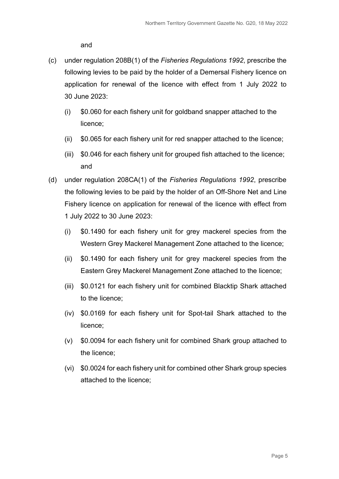and

- (c) under regulation 208B(1) of the *Fisheries Regulations 1992*, prescribe the following levies to be paid by the holder of a Demersal Fishery licence on application for renewal of the licence with effect from 1 July 2022 to 30 June 2023:
	- (i) \$0.060 for each fishery unit for goldband snapper attached to the licence;
	- (ii) \$0.065 for each fishery unit for red snapper attached to the licence;
	- (iii) \$0.046 for each fishery unit for grouped fish attached to the licence; and
- (d) under regulation 208CA(1) of the *Fisheries Regulations 1992*, prescribe the following levies to be paid by the holder of an Off-Shore Net and Line Fishery licence on application for renewal of the licence with effect from 1 July 2022 to 30 June 2023:
	- (i) \$0.1490 for each fishery unit for grey mackerel species from the Western Grey Mackerel Management Zone attached to the licence;
	- (ii) \$0.1490 for each fishery unit for grey mackerel species from the Eastern Grey Mackerel Management Zone attached to the licence;
	- (iii) \$0.0121 for each fishery unit for combined Blacktip Shark attached to the licence;
	- (iv) \$0.0169 for each fishery unit for Spot-tail Shark attached to the licence;
	- (v) \$0.0094 for each fishery unit for combined Shark group attached to the licence;
	- (vi) \$0.0024 for each fishery unit for combined other Shark group species attached to the licence;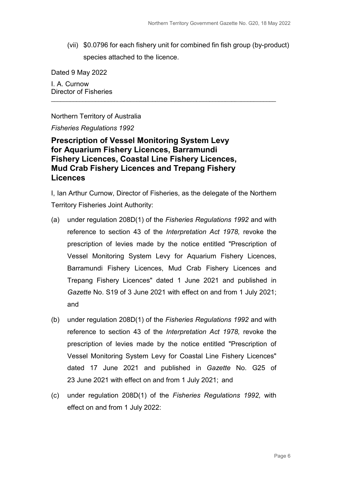(vii) \$0.0796 for each fishery unit for combined fin fish group (by-product) species attached to the licence.

Dated 9 May 2022 I. A. Curnow Director of Fisheries

Northern Territory of Australia

*Fisheries Regulations 1992*

**Prescription of Vessel Monitoring System Levy for Aquarium Fishery Licences, Barramundi Fishery Licences, Coastal Line Fishery Licences, Mud Crab Fishery Licences and Trepang Fishery Licences**

I, Ian Arthur Curnow, Director of Fisheries, as the delegate of the Northern Territory Fisheries Joint Authority:

\_\_\_\_\_\_\_\_\_\_\_\_\_\_\_\_\_\_\_\_\_\_\_\_\_\_\_\_\_\_\_\_\_\_\_\_\_\_\_\_\_\_\_\_\_\_\_\_\_\_\_\_\_\_\_\_\_\_\_\_\_\_\_\_\_\_\_\_\_\_\_

- (a) under regulation 208D(1) of the *Fisheries Regulations 1992* and with reference to section 43 of the *Interpretation Act 1978,* revoke the prescription of levies made by the notice entitled "Prescription of Vessel Monitoring System Levy for Aquarium Fishery Licences, Barramundi Fishery Licences, Mud Crab Fishery Licences and Trepang Fishery Licences" dated 1 June 2021 and published in *Gazette* No. S19 of 3 June 2021 with effect on and from 1 July 2021; and
- (b) under regulation 208D(1) of the *Fisheries Regulations 1992* and with reference to section 43 of the *Interpretation Act 1978,* revoke the prescription of levies made by the notice entitled "Prescription of Vessel Monitoring System Levy for Coastal Line Fishery Licences" dated 17 June 2021 and published in *Gazette* No. G25 of 23 June 2021 with effect on and from 1 July 2021; and
- (c) under regulation 208D(1) of the *Fisheries Regulations 1992,* with effect on and from 1 July 2022: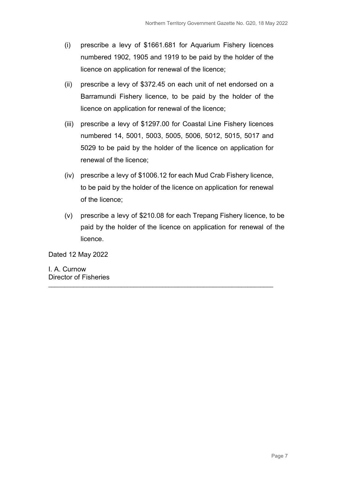- (i) prescribe a levy of \$1661.681 for Aquarium Fishery licences numbered 1902, 1905 and 1919 to be paid by the holder of the licence on application for renewal of the licence;
- (ii) prescribe a levy of \$372.45 on each unit of net endorsed on a Barramundi Fishery licence, to be paid by the holder of the licence on application for renewal of the licence;
- (iii) prescribe a levy of \$1297.00 for Coastal Line Fishery licences numbered 14, 5001, 5003, 5005, 5006, 5012, 5015, 5017 and 5029 to be paid by the holder of the licence on application for renewal of the licence;
- (iv) prescribe a levy of \$1006.12 for each Mud Crab Fishery licence, to be paid by the holder of the licence on application for renewal of the licence;
- (v) prescribe a levy of \$210.08 for each Trepang Fishery licence, to be paid by the holder of the licence on application for renewal of the licence.

\_\_\_\_\_\_\_\_\_\_\_\_\_\_\_\_\_\_\_\_\_\_\_\_\_\_\_\_\_\_\_\_\_\_\_\_\_\_\_\_\_\_\_\_\_\_\_\_\_\_\_\_\_\_\_\_\_\_\_\_\_\_\_\_\_\_\_\_\_\_\_

Dated 12 May 2022

I. A. Curnow Director of Fisheries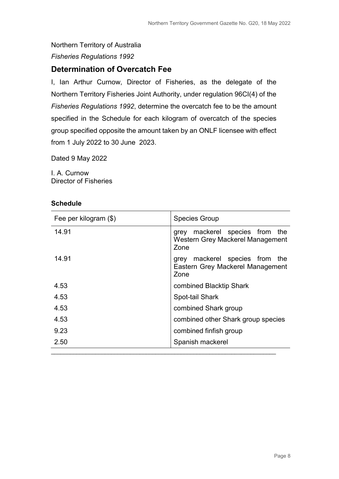## Northern Territory of Australia *Fisheries Regulations 1992*

## **Determination of Overcatch Fee**

I, Ian Arthur Curnow, Director of Fisheries, as the delegate of the Northern Territory Fisheries Joint Authority, under regulation 96CI(4) of the *Fisheries Regulations 1992*, determine the overcatch fee to be the amount specified in the Schedule for each kilogram of overcatch of the species group specified opposite the amount taken by an ONLF licensee with effect from 1 July 2022 to 30 June 2023.

Dated 9 May 2022

I. A. Curnow Director of Fisheries

#### **Schedule**

| Fee per kilogram (\$) | <b>Species Group</b>                                                          |
|-----------------------|-------------------------------------------------------------------------------|
| 14.91                 | mackerel species from the<br>grey<br>Western Grey Mackerel Management<br>Zone |
| 14.91                 | mackerel species from the<br>grey<br>Eastern Grey Mackerel Management<br>Zone |
| 4.53                  | combined Blacktip Shark                                                       |
| 4.53                  | Spot-tail Shark                                                               |
| 4.53                  | combined Shark group                                                          |
| 4.53                  | combined other Shark group species                                            |
| 9.23                  | combined finfish group                                                        |
| 2.50                  | Spanish mackerel                                                              |
|                       |                                                                               |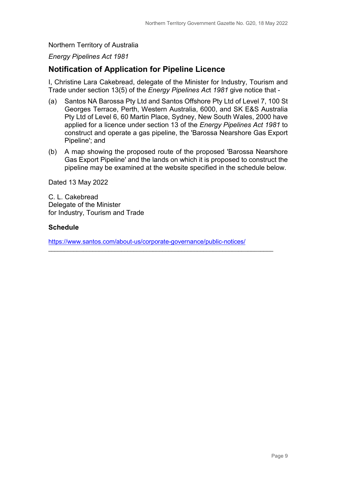*Energy Pipelines Act 1981*

### **Notification of Application for Pipeline Licence**

I, Christine Lara Cakebread, delegate of the Minister for Industry, Tourism and Trade under section 13(5) of the *Energy Pipelines Ac*t *1981* give notice that -

- (a) Santos NA Barossa Pty Ltd and Santos Offshore Pty Ltd of Level 7, 100 St Georges Terrace, Perth, Western Australia, 6000, and SK E&S Australia Pty Ltd of Level 6, 60 Martin Place, Sydney, New South Wales, 2000 have applied for a licence under section 13 of the *Energy Pipelines Act 1981* to construct and operate a gas pipeline, the 'Barossa Nearshore Gas Export Pipeline'; and
- (b) A map showing the proposed route of the proposed 'Barossa Nearshore Gas Export Pipeline' and the lands on which it is proposed to construct the pipeline may be examined at the website specified in the schedule below.

Dated 13 May 2022

C. L. Cakebread Delegate of the Minister for Industry, Tourism and Trade

#### **Schedule**

<https://www.santos.com/about-us/corporate-governance/public-notices/>

\_\_\_\_\_\_\_\_\_\_\_\_\_\_\_\_\_\_\_\_\_\_\_\_\_\_\_\_\_\_\_\_\_\_\_\_\_\_\_\_\_\_\_\_\_\_\_\_\_\_\_\_\_\_\_\_\_\_\_\_\_\_\_\_\_\_\_\_\_\_\_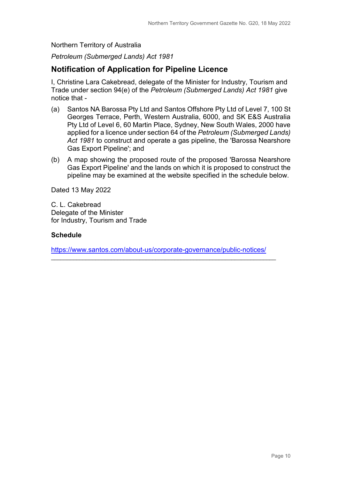*Petroleum (Submerged Lands) Act 1981*

## **Notification of Application for Pipeline Licence**

I, Christine Lara Cakebread, delegate of the Minister for Industry, Tourism and Trade under section 94(e) of the *Petroleum (Submerged Lands) Act 1981* give notice that -

- (a) Santos NA Barossa Pty Ltd and Santos Offshore Pty Ltd of Level 7, 100 St Georges Terrace, Perth, Western Australia, 6000, and SK E&S Australia Pty Ltd of Level 6, 60 Martin Place, Sydney, New South Wales, 2000 have applied for a licence under section 64 of the *Petroleum (Submerged Lands) Act 1981* to construct and operate a gas pipeline, the 'Barossa Nearshore Gas Export Pipeline'; and
- (b) A map showing the proposed route of the proposed 'Barossa Nearshore Gas Export Pipeline' and the lands on which it is proposed to construct the pipeline may be examined at the website specified in the schedule below.

Dated 13 May 2022

C. L. Cakebread Delegate of the Minister for Industry, Tourism and Trade

#### **Schedule**

<https://www.santos.com/about-us/corporate-governance/public-notices/>

\_\_\_\_\_\_\_\_\_\_\_\_\_\_\_\_\_\_\_\_\_\_\_\_\_\_\_\_\_\_\_\_\_\_\_\_\_\_\_\_\_\_\_\_\_\_\_\_\_\_\_\_\_\_\_\_\_\_\_\_\_\_\_\_\_\_\_\_\_\_\_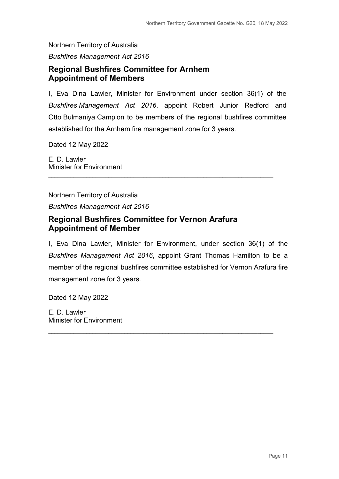*Bushfires Management Act 2016*

## **Regional Bushfires Committee for Arnhem Appointment of Members**

I, Eva Dina Lawler, Minister for Environment under section 36(1) of the *Bushfires Management Act 2016*, appoint Robert Junior Redford and Otto Bulmaniya Campion to be members of the regional bushfires committee established for the Arnhem fire management zone for 3 years.

\_\_\_\_\_\_\_\_\_\_\_\_\_\_\_\_\_\_\_\_\_\_\_\_\_\_\_\_\_\_\_\_\_\_\_\_\_\_\_\_\_\_\_\_\_\_\_\_\_\_\_\_\_\_\_\_\_\_\_\_\_\_\_\_\_\_\_\_\_\_\_

Dated 12 May 2022

E. D. Lawler Minister for Environment

Northern Territory of Australia *Bushfires Management Act 2016*

## **Regional Bushfires Committee for Vernon Arafura Appointment of Member**

I, Eva Dina Lawler, Minister for Environment, under section 36(1) of the *Bushfires Management Act 2016*, appoint Grant Thomas Hamilton to be a member of the regional bushfires committee established for Vernon Arafura fire management zone for 3 years.

\_\_\_\_\_\_\_\_\_\_\_\_\_\_\_\_\_\_\_\_\_\_\_\_\_\_\_\_\_\_\_\_\_\_\_\_\_\_\_\_\_\_\_\_\_\_\_\_\_\_\_\_\_\_\_\_\_\_\_\_\_\_\_\_\_\_\_\_\_\_\_

Dated 12 May 2022

E. D. Lawler Minister for Environment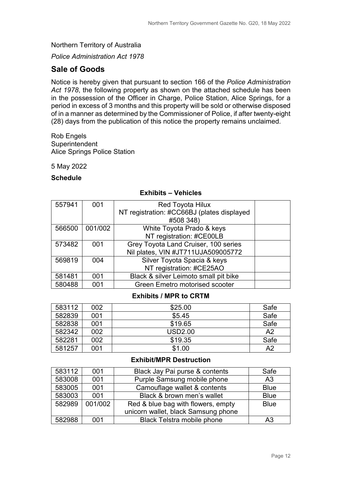*Police Administration Act 1978*

## **Sale of Goods**

Notice is hereby given that pursuant to section 166 of the *Police Administration Act 1978*, the following property as shown on the attached schedule has been in the possession of the Officer in Charge, Police Station, Alice Springs, for a period in excess of 3 months and this property will be sold or otherwise disposed of in a manner as determined by the Commissioner of Police, if after twenty-eight (28) days from the publication of this notice the property remains unclaimed.

Rob Engels **Superintendent** Alice Springs Police Station

5 May 2022

#### **Schedule**

| 557941 | 001     | <b>Red Toyota Hilux</b>                    |  |
|--------|---------|--------------------------------------------|--|
|        |         | NT registration: #CC66BJ (plates displayed |  |
|        |         | #508 348)                                  |  |
| 566500 | 001/002 | White Toyota Prado & keys                  |  |
|        |         | NT registration: #CE00LB                   |  |
| 573482 | 001     | Grey Toyota Land Cruiser, 100 series       |  |
|        |         | Nil plates, VIN #JT711UJA509005772         |  |
| 569819 | 004     | Silver Toyota Spacia & keys                |  |
|        |         | NT registration: #CE25AO                   |  |
| 581481 | 001     | Black & silver Leimoto small pit bike      |  |
| 580488 | 001     | <b>Green Emetro motorised scooter</b>      |  |

#### **Exhibits – Vehicles**

#### **Exhibits / MPR to CRTM**

| 583112 | 002 | \$25.00        | Safe           |
|--------|-----|----------------|----------------|
| 582839 | 001 | \$5.45         | Safe           |
| 582838 | 001 | \$19.65        | Safe           |
| 582342 | 002 | <b>USD2.00</b> | A <sub>2</sub> |
| 582281 | 002 | \$19.35        | Safe           |
| 581257 | 001 | \$1.00         | A <sub>2</sub> |

#### **Exhibit/MPR Destruction**

| 583112 | 001     | Black Jay Pai purse & contents      | Safe           |
|--------|---------|-------------------------------------|----------------|
| 583008 | 001     | Purple Samsung mobile phone         | A <sub>3</sub> |
| 583005 | 001     | Camouflage wallet & contents        | <b>Blue</b>    |
| 583003 | 001     | Black & brown men's wallet          | <b>Blue</b>    |
| 582989 | 001/002 | Red & blue bag with flowers, empty  | <b>Blue</b>    |
|        |         | unicorn wallet, black Samsung phone |                |
| 582988 | 001     | <b>Black Telstra mobile phone</b>   | A3             |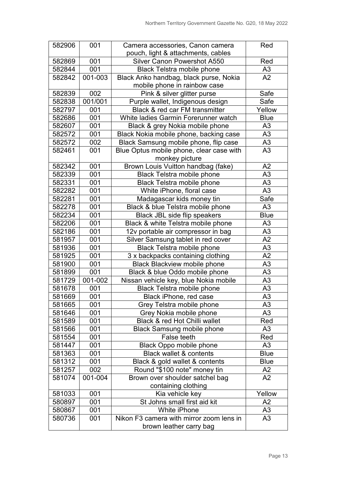| 582906 | 001     | Camera accessories, Canon camera         | Red            |
|--------|---------|------------------------------------------|----------------|
|        |         | pouch, light & attachments, cables       |                |
| 582869 | 001     | <b>Silver Canon Powershot A550</b>       | Red            |
| 582844 | 001     | <b>Black Telstra mobile phone</b>        | A <sub>3</sub> |
| 582842 | 001-003 | Black Anko handbag, black purse, Nokia   | A2             |
|        |         | mobile phone in rainbow case             |                |
| 582839 | 002     | Pink & silver glitter purse              | Safe           |
| 582838 | 001/001 | Purple wallet, Indigenous design         | Safe           |
| 582797 | 001     | Black & red car FM transmitter           | Yellow         |
| 582686 | 001     | White ladies Garmin Forerunner watch     | <b>Blue</b>    |
| 582607 | 001     | Black & grey Nokia mobile phone          | A <sub>3</sub> |
| 582572 | 001     | Black Nokia mobile phone, backing case   | A <sub>3</sub> |
| 582572 | 002     | Black Samsung mobile phone, flip case    | A <sub>3</sub> |
| 582461 | 001     | Blue Optus mobile phone, clear case with | A3             |
|        |         | monkey picture                           |                |
| 582342 | 001     | Brown Louis Vuitton handbag (fake)       | A2             |
| 582339 | 001     | <b>Black Telstra mobile phone</b>        | A3             |
| 582331 | 001     | <b>Black Telstra mobile phone</b>        | A3             |
| 582282 | 001     | White iPhone, floral case                | A3             |
| 582281 | 001     | Madagascar kids money tin                | Safe           |
| 582278 | 001     | Black & blue Telstra mobile phone        | A3             |
| 582234 | 001     | <b>Black JBL side flip speakers</b>      | <b>Blue</b>    |
| 582206 | 001     | Black & white Telstra mobile phone       | A3             |
| 582186 | 001     | 12v portable air compressor in bag       | A <sub>3</sub> |
| 581957 | 001     | Silver Samsung tablet in red cover       | A2             |
| 581936 | 001     | <b>Black Telstra mobile phone</b>        | A <sub>3</sub> |
| 581925 | 001     | 3 x backpacks containing clothing        | A2             |
| 581900 | 001     | <b>Black Blackview mobile phone</b>      | A3             |
| 581899 | 001     | Black & blue Oddo mobile phone           | A <sub>3</sub> |
| 581729 | 001-002 | Nissan vehicle key, blue Nokia mobile    | A3             |
| 581678 | 001     | <b>Black Telstra mobile phone</b>        | A3             |
| 581669 | 001     | Black iPhone, red case                   | A3             |
| 581665 | 001     | Grey Telstra mobile phone                | A <sub>3</sub> |
| 581646 | 001     | Grey Nokia mobile phone                  | A3             |
| 581589 | 001     | Black & red Hot Chilli wallet            | Red            |
| 581566 | 001     | <b>Black Samsung mobile phone</b>        | A3             |
| 581554 | 001     | False teeth                              | Red            |
| 581447 | 001     | <b>Black Oppo mobile phone</b>           | A3             |
| 581363 | 001     | <b>Black wallet &amp; contents</b>       | <b>Blue</b>    |
| 581312 | 001     | Black & gold wallet & contents           | <b>Blue</b>    |
| 581257 | 002     | Round "\$100 note" money tin             | A2             |
| 581074 | 001-004 | Brown over shoulder satchel bag          | A2             |
|        |         | containing clothing                      |                |
| 581033 | 001     | Kia vehicle key                          | Yellow         |
| 580897 | 001     | St Johns small first aid kit             | A <sub>2</sub> |
| 580867 | 001     | White iPhone                             | A3             |
| 580736 | 001     | Nikon F3 camera with mirror zoom lens in | A3             |
|        |         | brown leather carry bag                  |                |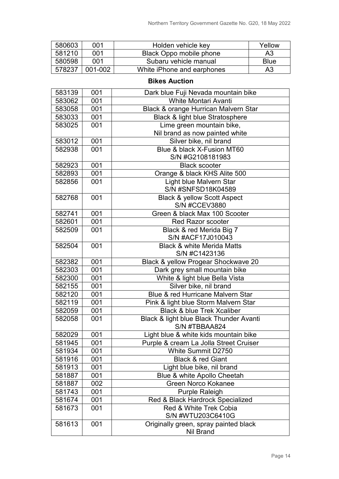| 580603 | 001     | Holden vehicle key         | Yellow      |
|--------|---------|----------------------------|-------------|
| 581210 | 001     | Black Oppo mobile phone    | A3          |
| 580598 | 001     | Subaru vehicle manual      | <b>Blue</b> |
| 578237 | 001-002 | White iPhone and earphones | A3          |

| 583139 | 001 | Dark blue Fuji Nevada mountain bike        |
|--------|-----|--------------------------------------------|
| 583062 | 001 | <b>White Montari Avanti</b>                |
| 583058 | 001 | Black & orange Hurrican Malvern Star       |
| 583033 | 001 | <b>Black &amp; light blue Stratosphere</b> |
| 583025 | 001 | Lime green mountain bike,                  |
|        |     | Nil brand as now painted white             |
| 583012 | 001 | Silver bike, nil brand                     |
| 582938 | 001 | Blue & black X-Fusion MT60                 |
|        |     | S/N #G2108181983                           |
| 582923 | 001 | <b>Black scooter</b>                       |
| 582893 | 001 | Orange & black KHS Alite 500               |
| 582856 | 001 | Light blue Malvern Star                    |
|        |     | S/N #SNFSD18K04589                         |
| 582768 | 001 | <b>Black &amp; yellow Scott Aspect</b>     |
|        |     | <b>S/N #CCEV3880</b>                       |
| 582741 | 001 | Green & black Max 100 Scooter              |
| 582601 | 001 | <b>Red Razor scooter</b>                   |
| 582509 | 001 | Black & red Merida Big 7                   |
|        |     | S/N #ACF17J010043                          |
| 582504 | 001 | <b>Black &amp; white Merida Matts</b>      |
|        |     | S/N #C1423136                              |
| 582382 | 001 | Black & yellow Progear Shockwave 20        |
| 582303 | 001 | Dark grey small mountain bike              |
| 582300 | 001 | White & light blue Bella Vista             |
| 582155 | 001 | Silver bike, nil brand                     |
| 582120 | 001 | Blue & red Hurricane Malvern Star          |
| 582119 | 001 | Pink & light blue Storm Malvern Star       |
| 582059 | 001 | <b>Black &amp; blue Trek Xcaliber</b>      |
| 582058 | 001 | Black & light blue Black Thunder Avanti    |
|        |     | S/N #TBBAA824                              |
| 582029 | 001 | Light blue & white kids mountain bike      |
| 581945 | 001 | Purple & cream La Jolla Street Cruiser     |
| 581934 | 001 | White Summit D2750                         |
| 581916 | 001 | <b>Black &amp; red Giant</b>               |
| 581913 | 001 | Light blue bike, nil brand                 |
| 581887 | 001 | Blue & white Apollo Cheetah                |
| 581887 | 002 | <b>Green Norco Kokanee</b>                 |
| 581743 | 001 | <b>Purple Raleigh</b>                      |
| 581674 | 001 | Red & Black Hardrock Specialized           |
| 581673 | 001 | Red & White Trek Cobia                     |
|        |     | S/N #WTU203C6410G                          |
| 581613 | 001 | Originally green, spray painted black      |
|        |     | <b>Nil Brand</b>                           |

#### **Bikes Auction**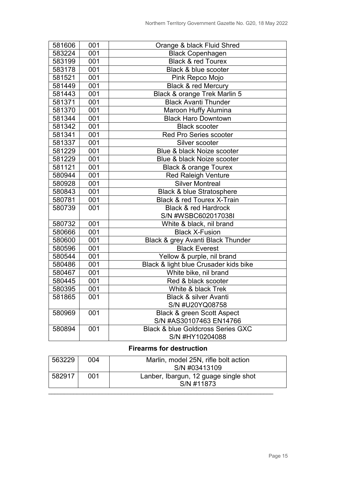| 581606 | 001 | Orange & black Fluid Shred                   |  |
|--------|-----|----------------------------------------------|--|
| 583224 | 001 | <b>Black Copenhagen</b>                      |  |
| 583199 | 001 | <b>Black &amp; red Tourex</b>                |  |
| 583178 | 001 | Black & blue scooter                         |  |
| 581521 | 001 | Pink Repco Mojo                              |  |
| 581449 | 001 | <b>Black &amp; red Mercury</b>               |  |
| 581443 | 001 | Black & orange Trek Marlin 5                 |  |
| 581371 | 001 | <b>Black Avanti Thunder</b>                  |  |
| 581370 | 001 | Maroon Huffy Alumina                         |  |
| 581344 | 001 | <b>Black Haro Downtown</b>                   |  |
| 581342 | 001 | <b>Black scooter</b>                         |  |
| 581341 | 001 | <b>Red Pro Series scooter</b>                |  |
| 581337 | 001 | Silver scooter                               |  |
| 581229 | 001 | Blue & black Noize scooter                   |  |
| 581229 | 001 | Blue & black Noize scooter                   |  |
| 581121 | 001 | <b>Black &amp; orange Tourex</b>             |  |
| 580944 | 001 | <b>Red Raleigh Venture</b>                   |  |
| 580928 | 001 | <b>Silver Montreal</b>                       |  |
| 580843 | 001 | <b>Black &amp; blue Stratosphere</b>         |  |
| 580781 | 001 | <b>Black &amp; red Tourex X-Train</b>        |  |
| 580739 | 001 | <b>Black &amp; red Hardrock</b>              |  |
|        |     | S/N #WSBC602017038I                          |  |
| 580732 | 001 | White & black, nil brand                     |  |
| 580666 | 001 | <b>Black X-Fusion</b>                        |  |
| 580600 | 001 | Black & grey Avanti Black Thunder            |  |
| 580596 | 001 | <b>Black Everest</b>                         |  |
| 580544 | 001 | Yellow & purple, nil brand                   |  |
| 580486 | 001 | Black & light blue Crusader kids bike        |  |
| 580467 | 001 | White bike, nil brand                        |  |
| 580445 | 001 | Red & black scooter                          |  |
| 580395 | 001 | White & black Trek                           |  |
| 581865 | 001 | <b>Black &amp; silver Avanti</b>             |  |
|        |     | S/N #U20YQ08758                              |  |
| 580969 | 001 | <b>Black &amp; green Scott Aspect</b>        |  |
|        |     | S/N #AS30107463 EN14766                      |  |
| 580894 | 001 | <b>Black &amp; blue Goldcross Series GXC</b> |  |
|        |     | S/N #HY10204088                              |  |

## **Firearms for destruction**

| 563229 | 004 | Marlin, model 25N, rifle bolt action  |
|--------|-----|---------------------------------------|
|        |     | S/N #03413109                         |
| 582917 | 001 | Lanber, Ibargun, 12 guage single shot |
|        |     | S/N #11873                            |
|        |     |                                       |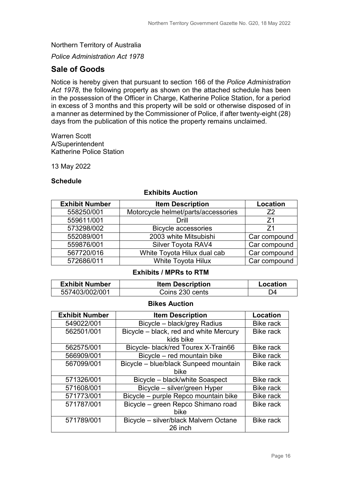*Police Administration Act 1978*

## **Sale of Goods**

Notice is hereby given that pursuant to section 166 of the *Police Administration Act 1978*, the following property as shown on the attached schedule has been in the possession of the Officer in Charge, Katherine Police Station, for a period in excess of 3 months and this property will be sold or otherwise disposed of in a manner as determined by the Commissioner of Police, if after twenty-eight (28) days from the publication of this notice the property remains unclaimed.

Warren Scott A/Superintendent Katherine Police Station

13 May 2022

#### **Schedule**

### **Exhibit Number Item Description Location** 558250/001 | Motorcycle helmet/parts/accessories | Z2 559611/001 Drill Z1 573298/002 Bicycle accessories Z1 552089/001 2003 white Mitsubishi Car compound 559876/001 Silver Toyota RAV4 Car compound 567720/016 White Toyota Hilux dual cab Car compound 572686/011 White Toyota Hilux Car compound

#### **Exhibits Auction**

#### **Exhibits / MPRs to RTM**

| <b>Exhibit Number</b> | <b>Item Description</b> | Location |
|-----------------------|-------------------------|----------|
| 557403/002/001        | Coins 230 cents         | D4       |

#### **Bikes Auction**

| <b>Exhibit Number</b> | <b>Item Description</b>                | Location         |
|-----------------------|----------------------------------------|------------------|
| 549022/001            | Bicycle - black/grey Radius            | <b>Bike rack</b> |
| 562501/001            | Bicycle - black, red and white Mercury | <b>Bike rack</b> |
|                       | kids bike                              |                  |
| 562575/001            | Bicycle- black/red Tourex X-Train66    | <b>Bike rack</b> |
| 566909/001            | Bicycle - red mountain bike            | <b>Bike rack</b> |
| 567099/001            | Bicycle - blue/black Sunpeed mountain  | <b>Bike rack</b> |
|                       | <b>bike</b>                            |                  |
| 571326/001            | Bicycle - black/white Soaspect         | <b>Bike rack</b> |
| 571608/001            | Bicycle - silver/green Hyper           | <b>Bike rack</b> |
| 571773/001            | Bicycle – purple Repco mountain bike   | <b>Bike rack</b> |
| 571787/001            | Bicycle - green Repco Shimano road     | <b>Bike rack</b> |
|                       | bike                                   |                  |
| 571789/001            | Bicycle - silver/black Malvern Octane  | <b>Bike rack</b> |
|                       | 26 inch                                |                  |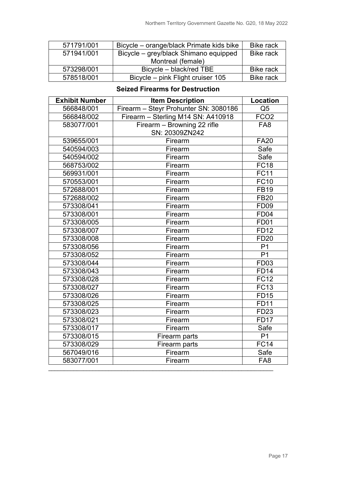| 571791/001 | Bicycle – orange/black Primate kids bike | <b>Bike rack</b> |
|------------|------------------------------------------|------------------|
| 571941/001 | Bicycle – grey/black Shimano equipped    | <b>Bike rack</b> |
|            | Montreal (female)                        |                  |
| 573298/001 | Bicycle - black/red TBE                  | <b>Bike rack</b> |
| 578518/001 | Bicycle – pink Flight cruiser 105        | <b>Bike rack</b> |

#### **Seized Firearms for Destruction**

| <b>Exhibit Number</b> | <b>Item Description</b>               | <b>Location</b>   |
|-----------------------|---------------------------------------|-------------------|
| 566848/001            | Firearm - Steyr Prohunter SN: 3080186 | Q <sub>5</sub>    |
| 566848/002            | Firearm - Sterling M14 SN: A410918    | FCO <sub>2</sub>  |
| 583077/001            | Firearm - Browning 22 rifle           | FA <sub>8</sub>   |
|                       | SN: 20309ZN242                        |                   |
| 539655/001            | Firearm                               | <b>FA20</b>       |
| 540594/003            | Firearm                               | Safe              |
| 540594/002            | Firearm                               | Safe              |
| 568753/002            | Firearm                               | <b>FC18</b>       |
| 569931/001            | Firearm                               | <b>FC11</b>       |
| 570553/001            | Firearm                               | <b>FC10</b>       |
| 572688/001            | Firearm                               | <b>FB19</b>       |
| 572688/002            | Firearm                               | <b>FB20</b>       |
| 573308/041            | Firearm                               | <b>FD09</b>       |
| 573308/001            | Firearm                               | <b>FD04</b>       |
| 573308/005            | Firearm                               | <b>FD01</b>       |
| 573308/007            | Firearm                               | <b>FD12</b>       |
| 573308/008            | Firearm                               | <b>FD20</b>       |
| 573308/056            | Firearm                               | P <sub>1</sub>    |
| 573308/052            | Firearm                               | $\overline{P1}$   |
| 573308/044            | Firearm                               | <b>FD03</b>       |
| 573308/043            | Firearm                               | <b>FD14</b>       |
| 573308/028            | Firearm                               | <b>FC12</b>       |
| 573308/027            | Firearm                               | $\overline{FC13}$ |
| 573308/026            | Firearm                               | <b>FD15</b>       |
| 573308/025            | Firearm                               | <b>FD11</b>       |
| 573308/023            | Firearm                               | <b>FD23</b>       |
| 573308/021            | Firearm                               | <b>FD17</b>       |
| 573308/017            | Firearm                               | Safe              |
| 573308/015            | Firearm parts                         | P <sub>1</sub>    |
| 573308/029            | Firearm parts                         | <b>FC14</b>       |
| 567049/016            | Firearm                               | Safe              |
| 583077/001            | Firearm                               | FA <sub>8</sub>   |
|                       |                                       |                   |